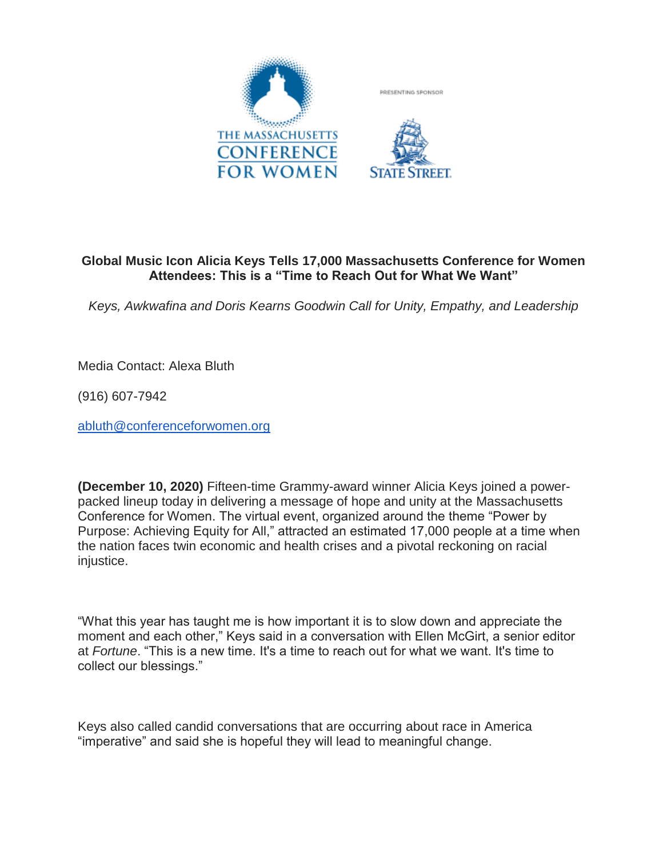

## **Global Music Icon Alicia Keys Tells 17,000 Massachusetts Conference for Women Attendees: This is a "Time to Reach Out for What We Want"**

*Keys, Awkwafina and Doris Kearns Goodwin Call for Unity, Empathy, and Leadership*

Media Contact: Alexa Bluth

(916) 607-7942

[abluth@conferenceforwomen.org](mailto:abluth@conferenceforwomen.org)

**(December 10, 2020)** Fifteen-time Grammy-award winner Alicia Keys joined a powerpacked lineup today in delivering a message of hope and unity at the Massachusetts Conference for Women. The virtual event, organized around the theme "Power by Purpose: Achieving Equity for All," attracted an estimated 17,000 people at a time when the nation faces twin economic and health crises and a pivotal reckoning on racial injustice.

"What this year has taught me is how important it is to slow down and appreciate the moment and each other," Keys said in a conversation with Ellen McGirt, a senior editor at *Fortune*. "This is a new time. It's a time to reach out for what we want. It's time to collect our blessings."

Keys also called candid conversations that are occurring about race in America "imperative" and said she is hopeful they will lead to meaningful change.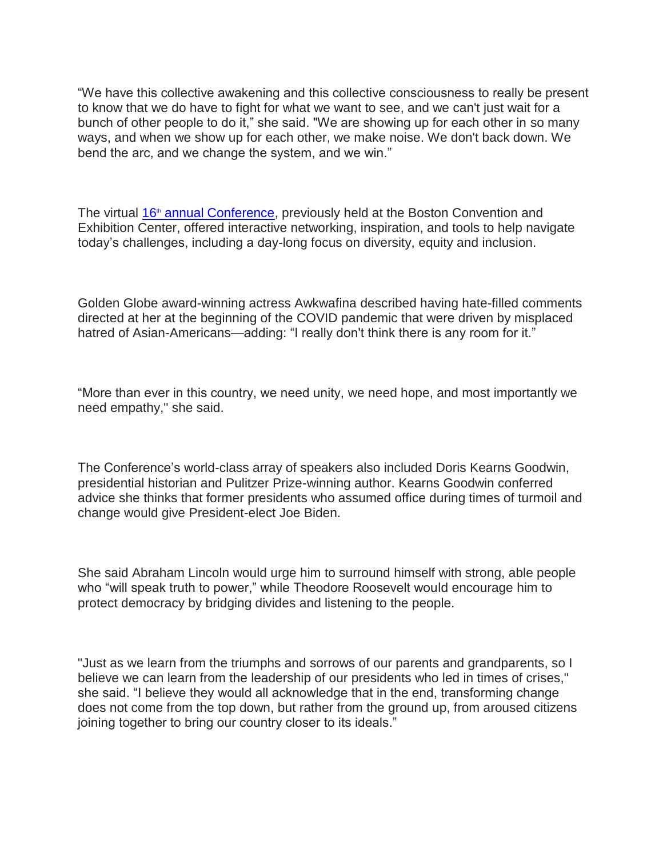―We have this collective awakening and this collective consciousness to really be present to know that we do have to fight for what we want to see, and we can't just wait for a bunch of other people to do it," she said. "We are showing up for each other in so many ways, and when we show up for each other, we make noise. We don't back down. We bend the arc, and we change the system, and we win."

The virtual  $16<sup>th</sup>$  [annual Conference,](https://www.maconferenceforwomen.org/) previously held at the Boston Convention and Exhibition Center, offered interactive networking, inspiration, and tools to help navigate today's challenges, including a day-long focus on diversity, equity and inclusion.

Golden Globe award-winning actress Awkwafina described having hate-filled comments directed at her at the beginning of the COVID pandemic that were driven by misplaced hatred of Asian-Americans—adding: "I really don't think there is any room for it."

"More than ever in this country, we need unity, we need hope, and most importantly we need empathy," she said.

The Conference's world-class array of speakers also included Doris Kearns Goodwin, presidential historian and Pulitzer Prize-winning author. Kearns Goodwin conferred advice she thinks that former presidents who assumed office during times of turmoil and change would give President-elect Joe Biden.

She said Abraham Lincoln would urge him to surround himself with strong, able people who "will speak truth to power," while Theodore Roosevelt would encourage him to protect democracy by bridging divides and listening to the people.

"Just as we learn from the triumphs and sorrows of our parents and grandparents, so I believe we can learn from the leadership of our presidents who led in times of crises," she said. "I believe they would all acknowledge that in the end, transforming change does not come from the top down, but rather from the ground up, from aroused citizens joining together to bring our country closer to its ideals."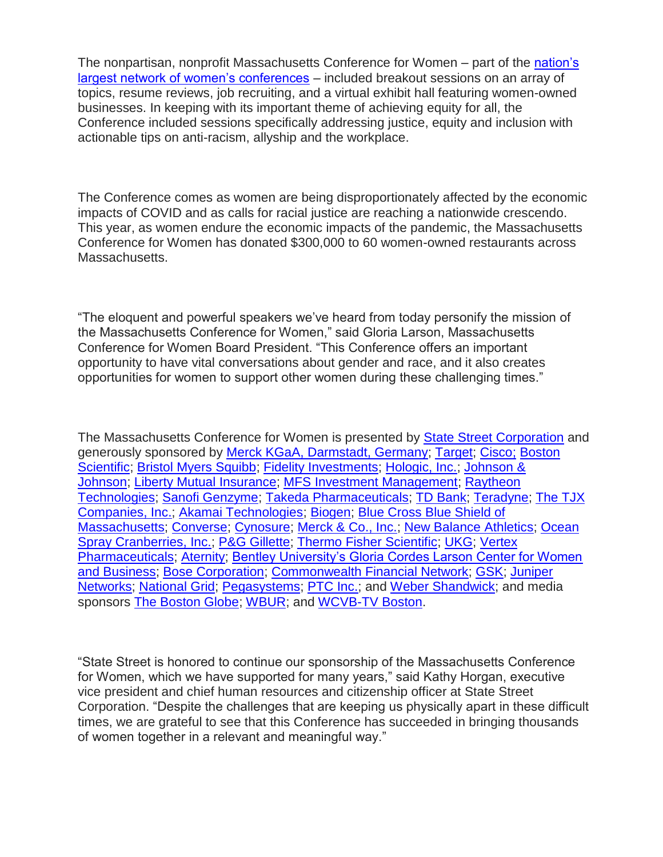The nonpartisan, nonprofit Massachusetts Conference for Women – part of the [nation's](https://www.conferencesforwomen.org/)  [largest network of women's conferences](https://www.conferencesforwomen.org/) – included breakout sessions on an array of topics, resume reviews, job recruiting, and a virtual exhibit hall featuring women-owned businesses. In keeping with its important theme of achieving equity for all, the Conference included sessions specifically addressing justice, equity and inclusion with actionable tips on anti-racism, allyship and the workplace.

The Conference comes as women are being disproportionately affected by the economic impacts of COVID and as calls for racial justice are reaching a nationwide crescendo. This year, as women endure the economic impacts of the pandemic, the Massachusetts Conference for Women has donated \$300,000 to 60 women-owned restaurants across Massachusetts.

―The eloquent and powerful speakers we've heard from today personify the mission of the Massachusetts Conference for Women," said Gloria Larson, Massachusetts Conference for Women Board President. "This Conference offers an important opportunity to have vital conversations about gender and race, and it also creates opportunities for women to support other women during these challenging times."

The Massachusetts Conference for Women is presented by [State Street Corporation](https://www.statestreet.com/home.html) and generously sponsored by [Merck KGaA, Darmstadt, Germany;](https://www.merck.com/) [Target;](https://www.target.com/) [Cisco;](https://www.cisco.com/) [Boston](https://www.bostonscientific.com/us.html)  [Scientific;](https://www.bostonscientific.com/us.html) [Bristol Myers Squibb;](https://www.bms.com/) [Fidelity Investments;](https://www.fidelity.com/) Hologic, Inc.; [Johnson &](https://www.jnj.com/)  [Johnson;](https://www.jnj.com/) [Liberty Mutual Insurance;](https://www.libertymutualgroup.com/about-lm/corporate-information/diversity-inclusion/our-commitment) [MFS Investment Management;](https://www.mfs.com/role-gate.html) [Raytheon](https://www.rtx.com/en)  [Technologies;](https://www.rtx.com/en) [Sanofi Genzyme;](https://www.sanofi.com/) [Takeda Pharmaceuticals;](https://www.takeda.com/) [TD Bank;](https://www.td.com/us/en/personal-banking/) [Teradyne;](https://www.teradyne.com/) [The TJX](https://www.tjx.com/home)  [Companies, Inc.;](https://www.tjx.com/home) [Akamai Technologies;](https://www.akamai.com/) [Biogen;](https://www.biogen.com/) [Blue Cross Blue Shield of](https://www.bluecrossma.org/)  [Massachusetts;](https://www.bluecrossma.org/) [Converse;](https://www.converse.com/) [Cynosure;](https://www.cynosure.com/) [Merck & Co., Inc.;](https://www.merck.com/) [New Balance Athletics;](https://www.newbalance.com/) [Ocean](https://www.oceanspray.com/)  [Spray Cranberries, Inc.;](https://www.oceanspray.com/) [P&G Gillette;](https://us.pg.com/) [Thermo Fisher Scientific;](https://www.thermofisher.com/us/en/home.html) [UKG;](https://www.kronos.com/) [Vertex](https://www.vrtx.com/)  [Pharmaceuticals;](https://www.vrtx.com/) [Aternity;](https://www.aternity.com/) [Bentley University's Gloria Cordes Larson Center for Women](https://www.bentley.edu/centers/center-for-women-and-business)  [and Business;](https://www.bentley.edu/centers/center-for-women-and-business) [Bose Corporation;](https://www.bose.com/en_us/index.html) [Commonwealth Financial Network;](https://www.commonwealth.com/) [GSK;](https://www.gsk.com/en-gb/) [Juniper](https://www.juniper.net/us/en/)  [Networks;](https://www.juniper.net/us/en/) [National Grid;](https://www.nationalgridus.com/Default.aspx) [Pegasystems;](https://www.pega.com/) [PTC Inc.;](https://www.ptc.com/) and [Weber Shandwick;](https://www.webershandwick.com/) and media sponsors [The Boston Globe;](https://www.bostonglobe.com/) [WBUR;](https://www.wbur.org/) and [WCVB-TV Boston.](https://www.wcvb.com/)

―State Street is honored to continue our sponsorship of the Massachusetts Conference for Women, which we have supported for many years," said Kathy Horgan, executive vice president and chief human resources and citizenship officer at State Street Corporation. "Despite the challenges that are keeping us physically apart in these difficult times, we are grateful to see that this Conference has succeeded in bringing thousands of women together in a relevant and meaningful way."